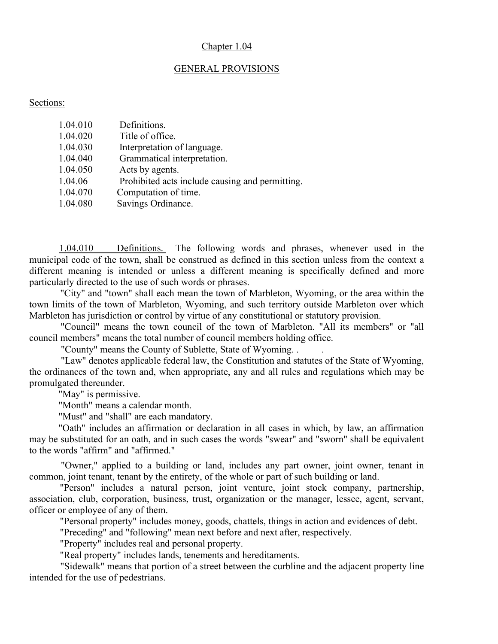### Chapter 1.04

#### GENERAL PROVISIONS

#### Sections:

| 1.04.010 | Definitions.                                    |
|----------|-------------------------------------------------|
| 1.04.020 | Title of office.                                |
| 1.04.030 | Interpretation of language.                     |
| 1.04.040 | Grammatical interpretation.                     |
| 1.04.050 | Acts by agents.                                 |
| 1.04.06  | Prohibited acts include causing and permitting. |
| 1.04.070 | Computation of time.                            |
| 1.04.080 | Savings Ordinance.                              |
|          |                                                 |

1.04.010 Definitions. The following words and phrases, whenever used in the municipal code of the town, shall be construed as defined in this section unless from the context a different meaning is intended or unless a different meaning is specifically defined and more particularly directed to the use of such words or phrases.

"City" and "town" shall each mean the town of Marbleton, Wyoming, or the area within the town limits of the town of Marbleton, Wyoming, and such territory outside Marbleton over which Marbleton has jurisdiction or control by virtue of any constitutional or statutory provision.

"Council" means the town council of the town of Marbleton. "All its members" or "all council members" means the total number of council members holding office.

"County" means the County of Sublette, State of Wyoming. . .

"Law" denotes applicable federal law, the Constitution and statutes of the State of Wyoming, the ordinances of the town and, when appropriate, any and all rules and regulations which may be promulgated thereunder.

"May" is permissive.

"Month" means a calendar month.

"Must" and "shall" are each mandatory.

"Oath" includes an affirmation or declaration in all cases in which, by law, an affirmation may be substituted for an oath, and in such cases the words "swear" and "sworn" shall be equivalent to the words "affirm" and "affirmed."

 "Owner," applied to a building or land, includes any part owner, joint owner, tenant in common, joint tenant, tenant by the entirety, of the whole or part of such building or land.

"Person" includes a natural person, joint venture, joint stock company, partnership, association, club, corporation, business, trust, organization or the manager, lessee, agent, servant, officer or employee of any of them.

"Personal property" includes money, goods, chattels, things in action and evidences of debt.

"Preceding" and "following" mean next before and next after, respectively.

"Property" includes real and personal property.

"Real property" includes lands, tenements and hereditaments.

"Sidewalk" means that portion of a street between the curbline and the adjacent property line intended for the use of pedestrians.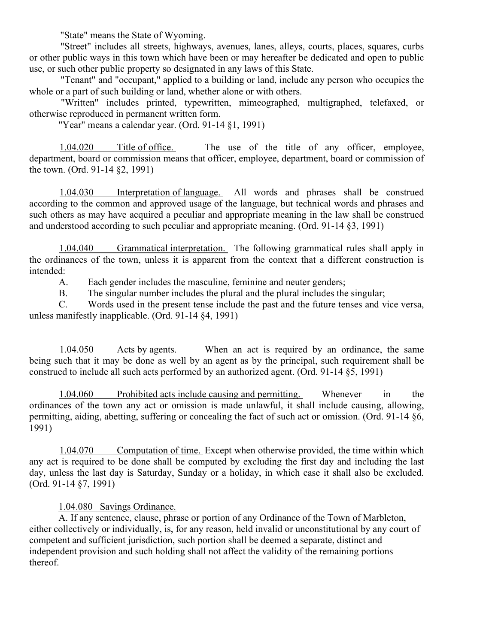"State" means the State of Wyoming.

"Street" includes all streets, highways, avenues, lanes, alleys, courts, places, squares, curbs or other public ways in this town which have been or may hereafter be dedicated and open to public use, or such other public property so designated in any laws of this State.

"Tenant" and "occupant," applied to a building or land, include any person who occupies the whole or a part of such building or land, whether alone or with others.

"Written" includes printed, typewritten, mimeographed, multigraphed, telefaxed, or otherwise reproduced in permanent written form.

"Year" means a calendar year. (Ord. 91-14 §1, 1991)

1.04.020 Title of office. The use of the title of any officer, employee, department, board or commission means that officer, employee, department, board or commission of the town. (Ord. 91-14 §2, 1991)

1.04.030 Interpretation of language. All words and phrases shall be construed according to the common and approved usage of the language, but technical words and phrases and such others as may have acquired a peculiar and appropriate meaning in the law shall be construed and understood according to such peculiar and appropriate meaning. (Ord. 91-14 §3, 1991)

1.04.040 Grammatical interpretation. The following grammatical rules shall apply in the ordinances of the town, unless it is apparent from the context that a different construction is intended:

A. Each gender includes the masculine, feminine and neuter genders;

B. The singular number includes the plural and the plural includes the singular;

C. Words used in the present tense include the past and the future tenses and vice versa, unless manifestly inapplicable. (Ord. 91-14 §4, 1991)

1.04.050 Acts by agents. When an act is required by an ordinance, the same being such that it may be done as well by an agent as by the principal, such requirement shall be construed to include all such acts performed by an authorized agent. (Ord. 91-14 §5, 1991)

1.04.060 Prohibited acts include causing and permitting. Whenever in the ordinances of the town any act or omission is made unlawful, it shall include causing, allowing, permitting, aiding, abetting, suffering or concealing the fact of such act or omission. (Ord. 91-14 §6, 1991)

1.04.070 Computation of time. Except when otherwise provided, the time within which any act is required to be done shall be computed by excluding the first day and including the last day, unless the last day is Saturday, Sunday or a holiday, in which case it shall also be excluded. (Ord. 91-14 §7, 1991)

1.04.080 Savings Ordinance.

A. If any sentence, clause, phrase or portion of any Ordinance of the Town of Marbleton, either collectively or individually, is, for any reason, held invalid or unconstitutional by any court of competent and sufficient jurisdiction, such portion shall be deemed a separate, distinct and independent provision and such holding shall not affect the validity of the remaining portions thereof.